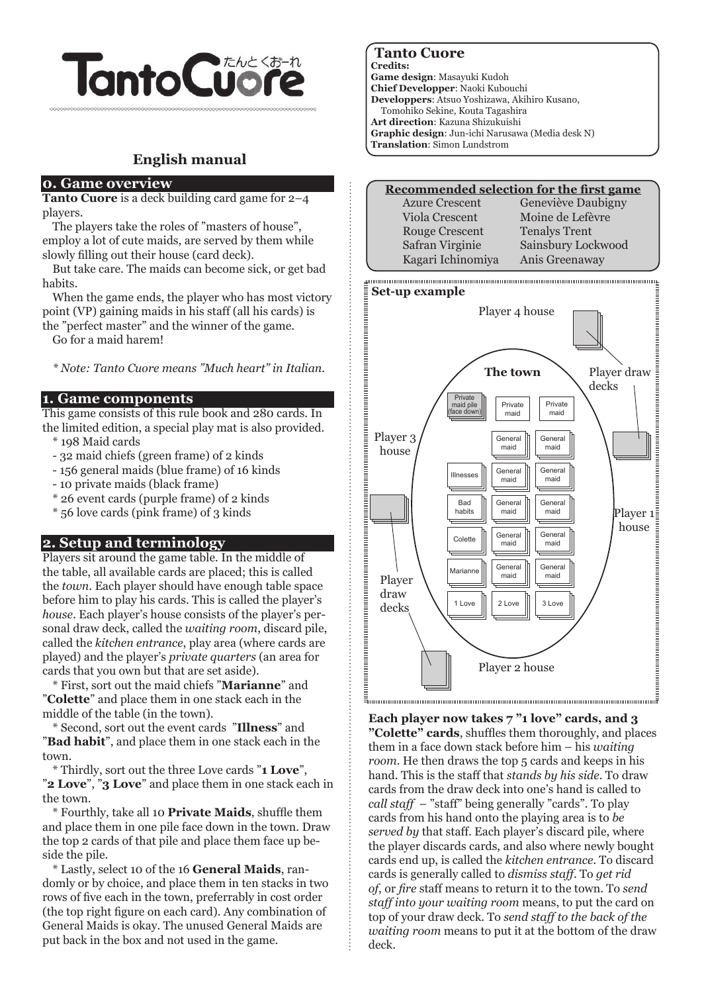

# **English manual**

#### **0. Game overview**

**Tanto Cuore** is a deck building card game for  $2-4$ players.

The players take the roles of "masters of house", employ a lot of cute maids, are served by them while slowly filling out their house (card deck).

But take care. The maids can become sick, or get bad habits.

When the game ends, the player who has most victory point (VP) gaining maids in his staff (all his cards) is the "perfect master" and the winner of the game.

Go for a maid harem!

*\* Note: Tanto Cuore means "Much heart" in Italian.*

#### **1. Game components**

This game consists of this rule book and 280 cards. In the limited edition, a special play mat is also provided.

- \* 198 Maid cards
- 32 maid chiefs (green frame) of 2 kinds
- 156 general maids (blue frame) of 16 kinds
- 10 private maids (black frame)
- \* 26 event cards (purple frame) of 2 kinds
- \* 56 love cards (pink frame) of 3 kinds

## **2. Setup and terminology**

Players sit around the game table. In the middle of the table, all available cards are placed; this is called the *town*. Each player should have enough table space before him to play his cards. This is called the player's *house*. Each player's house consists of the player's personal draw deck, called the *waiting room*, discard pile, called the *kitchen entrance*, play area (where cards are played) and the player's *private quarters* (an area for cards that you own but that are set aside).

\* First, sort out the maid chiefs "**Marianne**" and "**Colette**" and place them in one stack each in the middle of the table (in the town).

\* Second, sort out the event cards "**Illness**" and "**Bad habit**", and place them in one stack each in the town.

\* Thirdly, sort out the three Love cards "**1 Love**", "**2 Love**", "**3 Love**" and place them in one stack each in the town.

\* Fourthly, take all 10 **Private Maids**, shuffle them and place them in one pile face down in the town. Draw the top 2 cards of that pile and place them face up beside the pile.

\* Lastly, select 10 of the 16 **General Maids**, randomly or by choice, and place them in ten stacks in two rows of five each in the town, preferrably in cost order (the top right figure on each card). Any combination of General Maids is okay. The unused General Maids are put back in the box and not used in the game.

## **Tanto Cuore**

**Credits:**

**Game design**: Masayuki Kudoh **Chief Developper**: Naoki Kubouchi **Developpers**: Atsuo Yoshizawa, Akihiro Kusano, Tomohiko Sekine, Kouta Tagashira **Art direction**: Kazuna Shizukuishi **Graphic design**: Jun-ichi Narusawa (Media desk N) **Translation**: Simon Lundstrom

| <b>Recommended selection for the first game</b> |                      |  |
|-------------------------------------------------|----------------------|--|
| <b>Azure Crescent</b>                           | Geneviève Daubigny   |  |
| Viola Crescent                                  | Moine de Lefèvre     |  |
| <b>Rouge Crescent</b>                           | <b>Tenalys Trent</b> |  |
| Safran Virginie                                 | Sainsbury Lockwood   |  |
| Kagari Ichinomiya                               | Anis Greenaway       |  |
|                                                 |                      |  |



**Each player now takes 7 "1 love" cards, and 3 "Colette" cards**, shuffles them thoroughly, and places them in a face down stack before him – his *waiting room*. He then draws the top 5 cards and keeps in his hand. This is the staff that *stands by his side*. To draw cards from the draw deck into one's hand is called to *call staff* – "staff" being generally "cards". To play cards from his hand onto the playing area is to *be served by* that staff. Each player's discard pile, where the player discards cards, and also where newly bought cards end up, is called the *kitchen entrance*. To discard cards is generally called to *dismiss staff*. To *get rid of*, or *fire* staff means to return it to the town. To *send staff into your waiting room* means, to put the card on top of your draw deck. To *send staff to the back of the waiting room* means to put it at the bottom of the draw deck.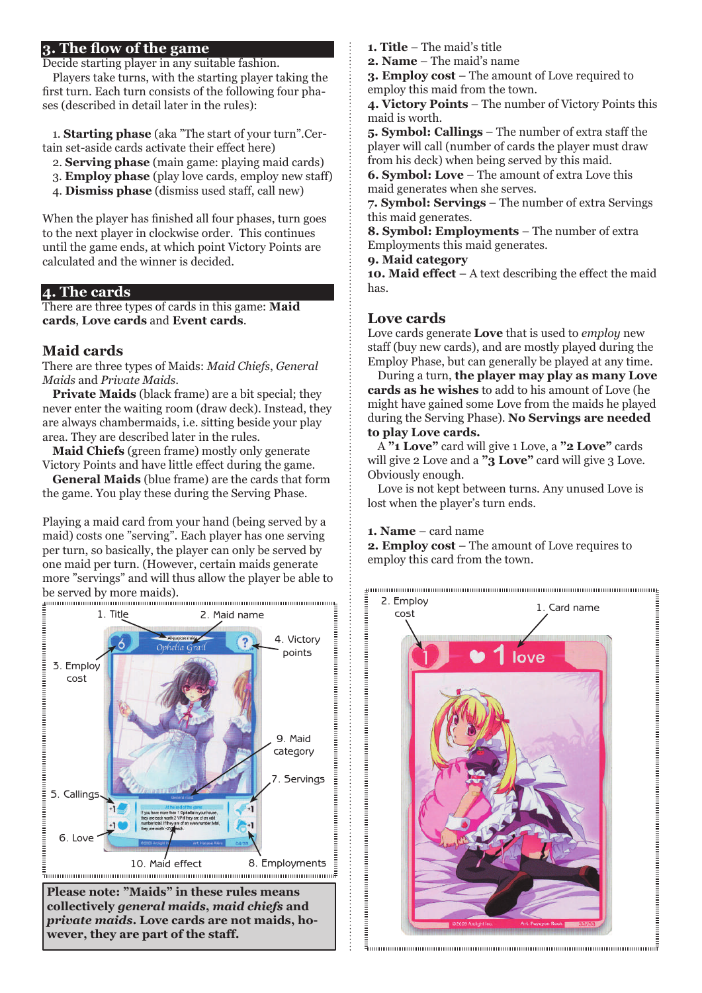## **3. The flow of the game**

Decide starting player in any suitable fashion.

Players take turns, with the starting player taking the first turn. Each turn consists of the following four phases (described in detail later in the rules):

1. **Starting phase** (aka "The start of your turn".Certain set-aside cards activate their effect here)

- 2. **Serving phase** (main game: playing maid cards)
- 3. **Employ phase** (play love cards, employ new staff)
- 4. **Dismiss phase** (dismiss used staff, call new)

When the player has finished all four phases, turn goes to the next player in clockwise order. This continues until the game ends, at which point Victory Points are calculated and the winner is decided.

### **4. The cards**

There are three types of cards in this game: **Maid cards**, **Love cards** and **Event cards**.

## **Maid cards**

There are three types of Maids: *Maid Chiefs*, *General Maids* and *Private Maids*.

**Private Maids** (black frame) are a bit special; they never enter the waiting room (draw deck). Instead, they are always chambermaids, i.e. sitting beside your play area. They are described later in the rules.

**Maid Chiefs** (green frame) mostly only generate Victory Points and have little effect during the game.

**General Maids** (blue frame) are the cards that form the game. You play these during the Serving Phase.

Playing a maid card from your hand (being served by a maid) costs one "serving". Each player has one serving per turn, so basically, the player can only be served by one maid per turn. (However, certain maids generate more "servings" and will thus allow the player be able to be served by more maids).



**Please note: "Maids" in these rules means collectively** *general maids***,** *maid chiefs* **and**  *private maids***. Love cards are not maids, however, they are part of the staff.**

- **1. Title** The maid's title
- **2. Name** The maid's name

**3. Employ cost** – The amount of Love required to employ this maid from the town.

**4. Victory Points** – The number of Victory Points this maid is worth.

**5. Symbol: Callings** – The number of extra staff the player will call (number of cards the player must draw from his deck) when being served by this maid.

**6. Symbol: Love** – The amount of extra Love this maid generates when she serves.

**7. Symbol: Servings** – The number of extra Servings this maid generates.

**8. Symbol: Employments** – The number of extra Employments this maid generates.

**9. Maid category**

**10. Maid effect** – A text describing the effect the maid has.

## **Love cards**

Love cards generate **Love** that is used to *employ* new staff (buy new cards), and are mostly played during the Employ Phase, but can generally be played at any time.

During a turn, **the player may play as many Love cards as he wishes** to add to his amount of Love (he might have gained some Love from the maids he played during the Serving Phase). **No Servings are needed to play Love cards.**

A **"1 Love"** card will give 1 Love, a **"2 Love"** cards will give 2 Love and a **"3 Love"** card will give 3 Love. Obviously enough.

Love is not kept between turns. Any unused Love is lost when the player's turn ends.

#### **1. Name** – card name

:::::::::::::::

**2. Employ cost** – The amount of Love requires to employ this card from the town.

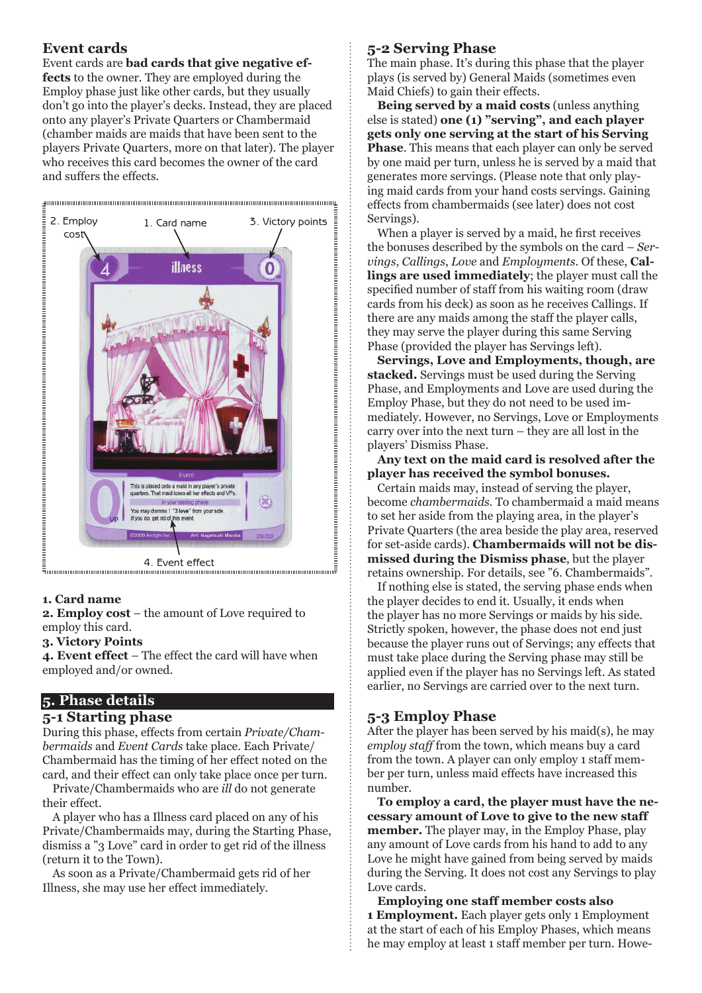## **Event cards**

Event cards are **bad cards that give negative effects** to the owner. They are employed during the Employ phase just like other cards, but they usually don't go into the player's decks. Instead, they are placed onto any player's Private Quarters or Chambermaid (chamber maids are maids that have been sent to the players Private Quarters, more on that later). The player who receives this card becomes the owner of the card and suffers the effects.



## **1. Card name**

**2. Employ cost** – the amount of Love required to employ this card.

#### **3. Victory Points**

**4. Event effect** – The effect the card will have when employed and/or owned.

## **5. Phase details**

#### **5-1 Starting phase**

During this phase, effects from certain *Private/Chambermaids* and *Event Cards* take place. Each Private/ Chambermaid has the timing of her effect noted on the card, and their effect can only take place once per turn.

Private/Chambermaids who are *ill* do not generate their effect.

A player who has a Illness card placed on any of his Private/Chambermaids may, during the Starting Phase, dismiss a "3 Love" card in order to get rid of the illness (return it to the Town).

As soon as a Private/Chambermaid gets rid of her Illness, she may use her effect immediately.

## **5-2 Serving Phase**

The main phase. It's during this phase that the player plays (is served by) General Maids (sometimes even Maid Chiefs) to gain their effects.

**Being served by a maid costs** (unless anything else is stated) **one (1) "serving", and each player gets only one serving at the start of his Serving Phase**. This means that each player can only be served by one maid per turn, unless he is served by a maid that generates more servings. (Please note that only playing maid cards from your hand costs servings. Gaining effects from chambermaids (see later) does not cost Servings).

When a player is served by a maid, he first receives the bonuses described by the symbols on the card – *Servings*, *Callings*, *Love* and *Employments*. Of these, **Callings are used immediately**; the player must call the specified number of staff from his waiting room (draw cards from his deck) as soon as he receives Callings. If there are any maids among the staff the player calls, they may serve the player during this same Serving Phase (provided the player has Servings left).

**Servings, Love and Employments, though, are stacked.** Servings must be used during the Serving Phase, and Employments and Love are used during the Employ Phase, but they do not need to be used immediately. However, no Servings, Love or Employments carry over into the next turn – they are all lost in the players' Dismiss Phase.

**Any text on the maid card is resolved after the player has received the symbol bonuses.**

Certain maids may, instead of serving the player, become *chambermaids*. To chambermaid a maid means to set her aside from the playing area, in the player's Private Quarters (the area beside the play area, reserved for set-aside cards). **Chambermaids will not be dismissed during the Dismiss phase**, but the player retains ownership. For details, see "6. Chambermaids".

If nothing else is stated, the serving phase ends when the player decides to end it. Usually, it ends when the player has no more Servings or maids by his side. Strictly spoken, however, the phase does not end just because the player runs out of Servings; any effects that must take place during the Serving phase may still be applied even if the player has no Servings left. As stated earlier, no Servings are carried over to the next turn.

## **5-3 Employ Phase**

After the player has been served by his maid(s), he may *employ staff* from the town, which means buy a card from the town. A player can only employ 1 staff member per turn, unless maid effects have increased this number.

**To employ a card, the player must have the necessary amount of Love to give to the new staff member.** The player may, in the Employ Phase, play any amount of Love cards from his hand to add to any Love he might have gained from being served by maids during the Serving. It does not cost any Servings to play Love cards.

**Employing one staff member costs also 1 Employment.** Each player gets only 1 Employment at the start of each of his Employ Phases, which means he may employ at least 1 staff member per turn. Howe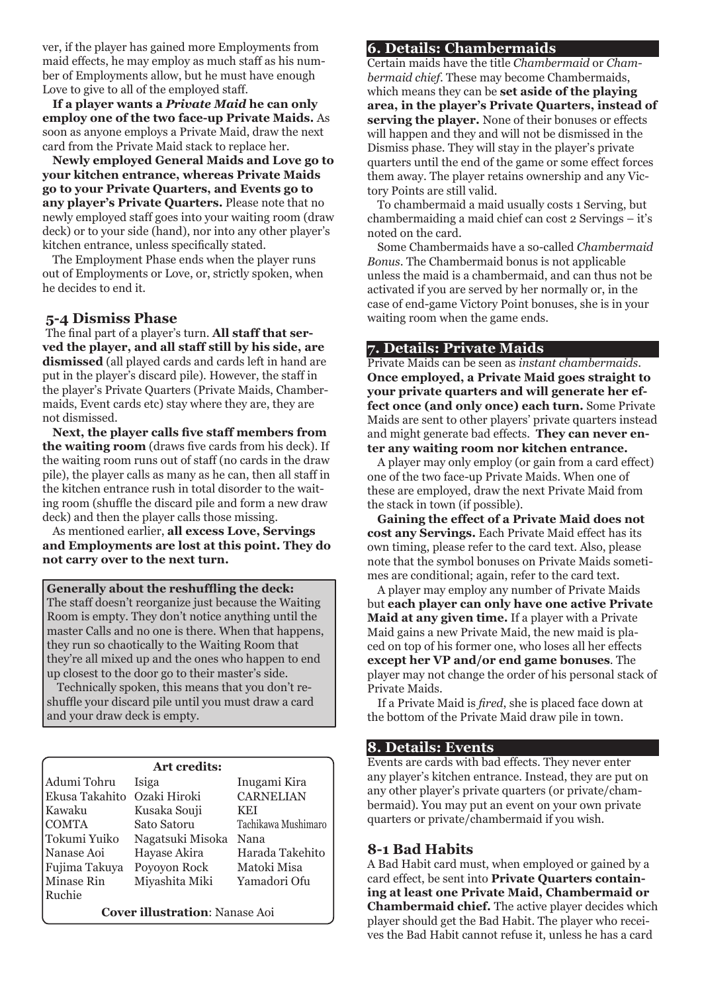ver, if the player has gained more Employments from maid effects, he may employ as much staff as his number of Employments allow, but he must have enough Love to give to all of the employed staff.

**If a player wants a** *Private Maid* **he can only employ one of the two face-up Private Maids.** As soon as anyone employs a Private Maid, draw the next card from the Private Maid stack to replace her.

**Newly employed General Maids and Love go to your kitchen entrance, whereas Private Maids go to your Private Quarters, and Events go to any player's Private Quarters.** Please note that no newly employed staff goes into your waiting room (draw deck) or to your side (hand), nor into any other player's kitchen entrance, unless specifically stated.

The Employment Phase ends when the player runs out of Employments or Love, or, strictly spoken, when he decides to end it.

## **5-4 Dismiss Phase**

The final part of a player's turn. **All staff that served the player, and all staff still by his side, are dismissed** (all played cards and cards left in hand are put in the player's discard pile). However, the staff in the player's Private Quarters (Private Maids, Chambermaids, Event cards etc) stay where they are, they are not dismissed.

**Next, the player calls five staff members from the waiting room** (draws five cards from his deck). If the waiting room runs out of staff (no cards in the draw pile), the player calls as many as he can, then all staff in the kitchen entrance rush in total disorder to the waiting room (shuffle the discard pile and form a new draw deck) and then the player calls those missing.

As mentioned earlier, **all excess Love, Servings and Employments are lost at this point. They do not carry over to the next turn.**

#### **Generally about the reshuffling the deck:**

The staff doesn't reorganize just because the Waiting Room is empty. They don't notice anything until the master Calls and no one is there. When that happens, they run so chaotically to the Waiting Room that they're all mixed up and the ones who happen to end up closest to the door go to their master's side.

Technically spoken, this means that you don't reshuffle your discard pile until you must draw a card and your draw deck is empty.

| Art credits:                          |                  |                     |
|---------------------------------------|------------------|---------------------|
| Adumi Tohru                           | Isiga            | Inugami Kira        |
| Ekusa Takahito                        | Ozaki Hiroki     | <b>CARNELIAN</b>    |
| Kawaku                                | Kusaka Souji     | <b>KEI</b>          |
| <b>COMTA</b>                          | Sato Satoru      | Tachikawa Mushimaro |
| Tokumi Yuiko                          | Nagatsuki Misoka | Nana                |
| Nanase Aoi                            | Hayase Akira     | Harada Takehito     |
| Fujima Takuya                         | Poyoyon Rock     | Matoki Misa         |
| Minase Rin                            | Miyashita Miki   | Yamadori Ofu        |
| Ruchie                                |                  |                     |
| <b>Cover illustration: Nanase Aoi</b> |                  |                     |

#### **6. Details: Chambermaids**

Certain maids have the title *Chambermaid* or *Chambermaid chief*. These may become Chambermaids, which means they can be **set aside of the playing area, in the player's Private Quarters, instead of serving the player.** None of their bonuses or effects will happen and they and will not be dismissed in the Dismiss phase. They will stay in the player's private quarters until the end of the game or some effect forces them away. The player retains ownership and any Victory Points are still valid.

To chambermaid a maid usually costs 1 Serving, but chambermaiding a maid chief can cost 2 Servings – it's noted on the card.

Some Chambermaids have a so-called *Chambermaid Bonus*. The Chambermaid bonus is not applicable unless the maid is a chambermaid, and can thus not be activated if you are served by her normally or, in the case of end-game Victory Point bonuses, she is in your waiting room when the game ends.

#### **7. Details: Private Maids**

Private Maids can be seen as *instant chambermaids*. **Once employed, a Private Maid goes straight to your private quarters and will generate her effect once (and only once) each turn.** Some Private Maids are sent to other players' private quarters instead and might generate bad effects. **They can never enter any waiting room nor kitchen entrance.**

A player may only employ (or gain from a card effect) one of the two face-up Private Maids. When one of these are employed, draw the next Private Maid from the stack in town (if possible).

**Gaining the effect of a Private Maid does not cost any Servings.** Each Private Maid effect has its own timing, please refer to the card text. Also, please note that the symbol bonuses on Private Maids sometimes are conditional; again, refer to the card text.

A player may employ any number of Private Maids but **each player can only have one active Private Maid at any given time.** If a player with a Private Maid gains a new Private Maid, the new maid is placed on top of his former one, who loses all her effects **except her VP and/or end game bonuses**. The player may not change the order of his personal stack of Private Maids.

If a Private Maid is *fired*, she is placed face down at the bottom of the Private Maid draw pile in town.

#### **8. Details: Events**

Events are cards with bad effects. They never enter any player's kitchen entrance. Instead, they are put on any other player's private quarters (or private/chambermaid). You may put an event on your own private quarters or private/chambermaid if you wish.

## **8-1 Bad Habits**

A Bad Habit card must, when employed or gained by a card effect, be sent into **Private Quarters containing at least one Private Maid, Chambermaid or Chambermaid chief.** The active player decides which player should get the Bad Habit. The player who receives the Bad Habit cannot refuse it, unless he has a card